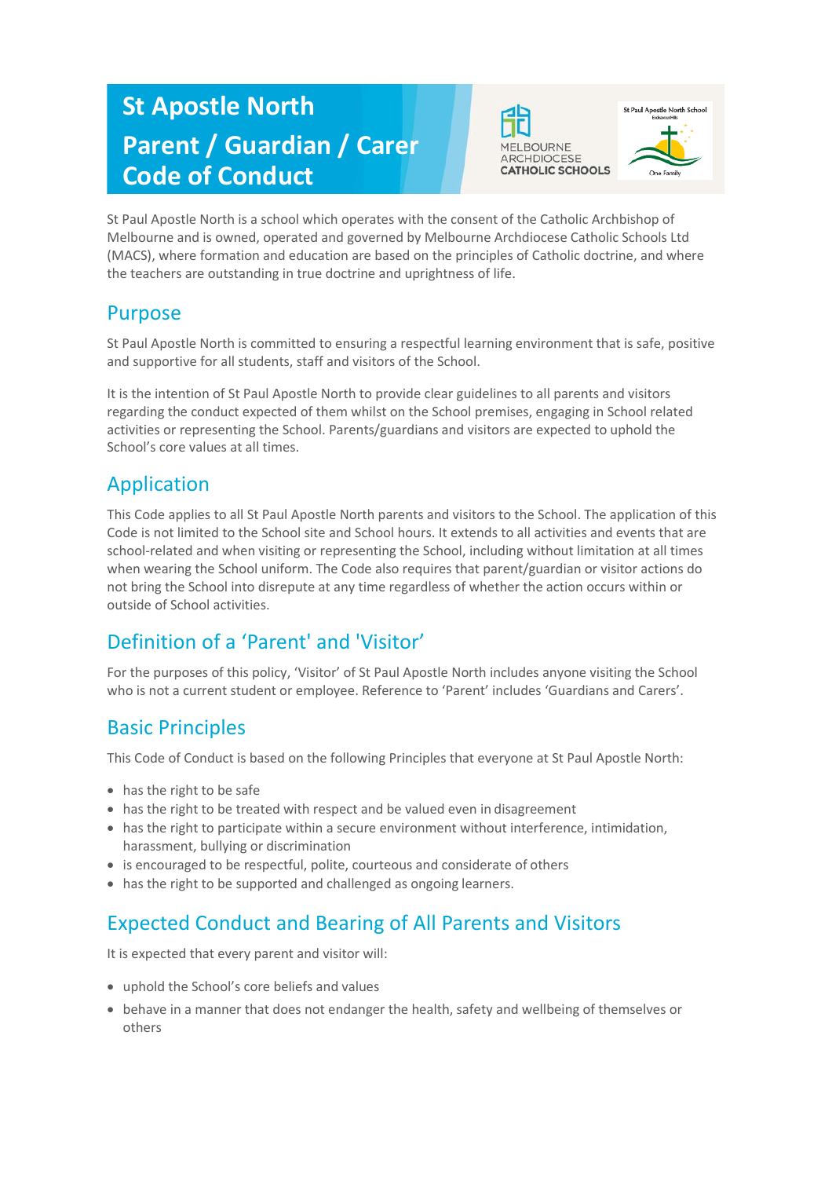# **St Apostle North Parent / Guardian / Carer Code of Conduct**





St Paul Apostle North is a school which operates with the consent of the Catholic Archbishop of Melbourne and is owned, operated and governed by Melbourne Archdiocese Catholic Schools Ltd (MACS), where formation and education are based on the principles of Catholic doctrine, and where the teachers are outstanding in true doctrine and uprightness of life.

#### Purpose

St Paul Apostle North is committed to ensuring a respectful learning environment that is safe, positive and supportive for all students, staff and visitors of the School.

It is the intention of St Paul Apostle North to provide clear guidelines to all parents and visitors regarding the conduct expected of them whilst on the School premises, engaging in School related activities or representing the School. Parents/guardians and visitors are expected to uphold the School's core values at all times.

#### Application

This Code applies to all St Paul Apostle North parents and visitors to the School. The application of this Code is not limited to the School site and School hours. It extends to all activities and events that are school-related and when visiting or representing the School, including without limitation at all times when wearing the School uniform. The Code also requires that parent/guardian or visitor actions do not bring the School into disrepute at any time regardless of whether the action occurs within or outside of School activities.

## Definition of a 'Parent' and 'Visitor'

For the purposes of this policy, 'Visitor' of St Paul Apostle North includes anyone visiting the School who is not a current student or employee. Reference to 'Parent' includes 'Guardians and Carers'.

#### Basic Principles

This Code of Conduct is based on the following Principles that everyone at St Paul Apostle North:

- has the right to be safe
- has the right to be treated with respect and be valued even in disagreement
- has the right to participate within a secure environment without interference, intimidation, harassment, bullying or discrimination
- is encouraged to be respectful, polite, courteous and considerate of others
- has the right to be supported and challenged as ongoing learners.

## Expected Conduct and Bearing of All Parents and Visitors

It is expected that every parent and visitor will:

- uphold the School's core beliefs and values
- behave in a manner that does not endanger the health, safety and wellbeing of themselves or others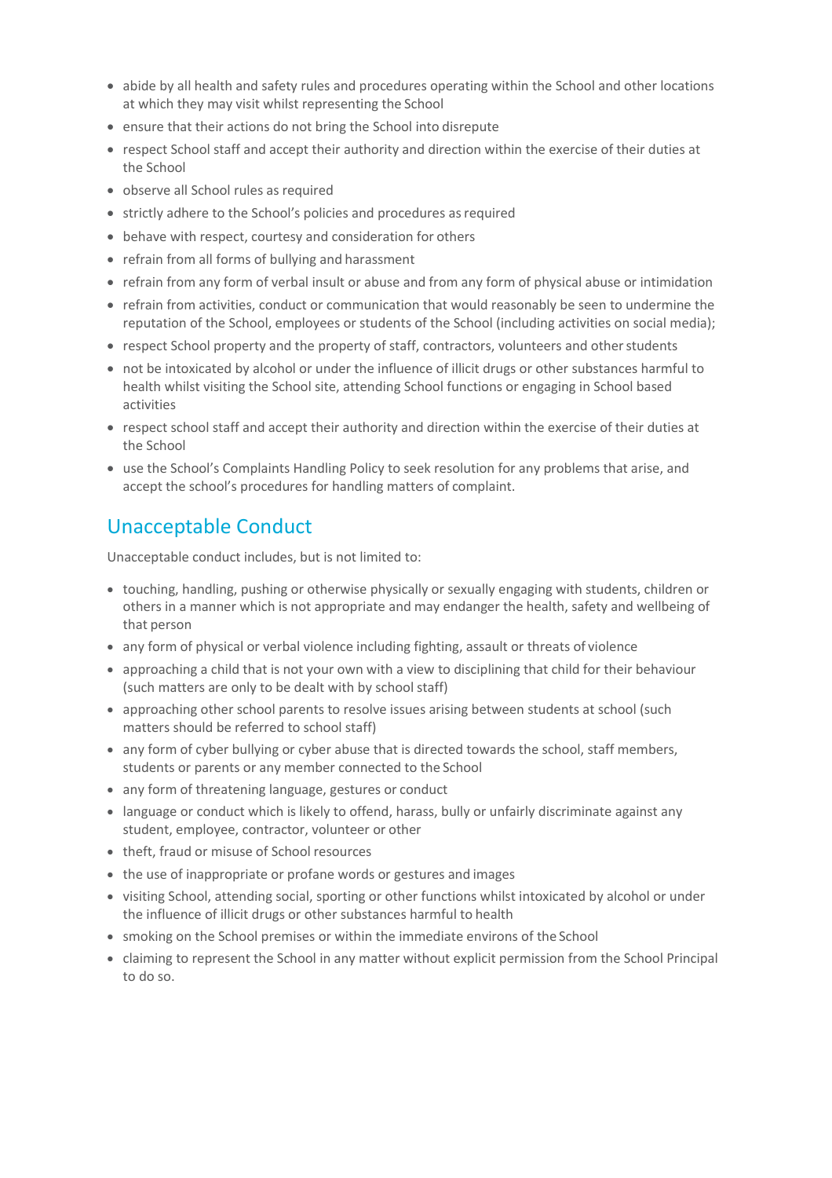- abide by all health and safety rules and procedures operating within the School and other locations at which they may visit whilst representing the School
- ensure that their actions do not bring the School into disrepute
- respect School staff and accept their authority and direction within the exercise of their duties at the School
- observe all School rules as required
- strictly adhere to the School's policies and procedures as required
- behave with respect, courtesy and consideration for others
- refrain from all forms of bullying and harassment
- refrain from any form of verbal insult or abuse and from any form of physical abuse or intimidation
- refrain from activities, conduct or communication that would reasonably be seen to undermine the reputation of the School, employees or students of the School (including activities on social media);
- respect School property and the property of staff, contractors, volunteers and other students
- not be intoxicated by alcohol or under the influence of illicit drugs or other substances harmful to health whilst visiting the School site, attending School functions or engaging in School based activities
- respect school staff and accept their authority and direction within the exercise of their duties at the School
- use the School's Complaints Handling Policy to seek resolution for any problems that arise, and accept the school's procedures for handling matters of complaint.

### Unacceptable Conduct

Unacceptable conduct includes, but is not limited to:

- touching, handling, pushing or otherwise physically or sexually engaging with students, children or others in a manner which is not appropriate and may endanger the health, safety and wellbeing of that person
- any form of physical or verbal violence including fighting, assault or threats of violence
- approaching a child that is not your own with a view to disciplining that child for their behaviour (such matters are only to be dealt with by school staff)
- approaching other school parents to resolve issues arising between students at school (such matters should be referred to school staff)
- any form of cyber bullying or cyber abuse that is directed towards the school, staff members, students or parents or any member connected to the School
- any form of threatening language, gestures or conduct
- language or conduct which is likely to offend, harass, bully or unfairly discriminate against any student, employee, contractor, volunteer or other
- theft, fraud or misuse of School resources
- the use of inappropriate or profane words or gestures and images
- visiting School, attending social, sporting or other functions whilst intoxicated by alcohol or under the influence of illicit drugs or other substances harmful to health
- smoking on the School premises or within the immediate environs of the School
- claiming to represent the School in any matter without explicit permission from the School Principal to do so.